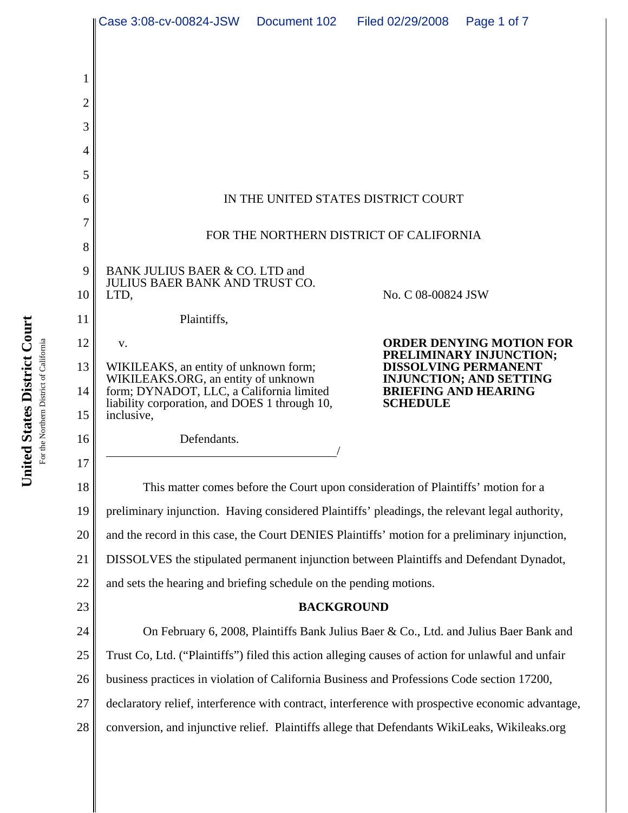|                | Case 3:08-cv-00824-JSW                                                                                  | Document 102 | Filed 02/29/2008                               | Page 1 of 7                                                |  |
|----------------|---------------------------------------------------------------------------------------------------------|--------------|------------------------------------------------|------------------------------------------------------------|--|
|                |                                                                                                         |              |                                                |                                                            |  |
| 1              |                                                                                                         |              |                                                |                                                            |  |
| $\overline{c}$ |                                                                                                         |              |                                                |                                                            |  |
| 3              |                                                                                                         |              |                                                |                                                            |  |
| 4              |                                                                                                         |              |                                                |                                                            |  |
| 5              |                                                                                                         |              |                                                |                                                            |  |
| 6              | IN THE UNITED STATES DISTRICT COURT                                                                     |              |                                                |                                                            |  |
| 7              |                                                                                                         |              |                                                |                                                            |  |
| 8              | FOR THE NORTHERN DISTRICT OF CALIFORNIA                                                                 |              |                                                |                                                            |  |
| 9              | BANK JULIUS BAER & CO. LTD and                                                                          |              |                                                |                                                            |  |
| 10             | <b>JULIUS BAER BANK AND TRUST CO.</b><br>LTD,                                                           |              | No. C 08-00824 JSW                             |                                                            |  |
| 11             | Plaintiffs,                                                                                             |              |                                                |                                                            |  |
| 12             | v.                                                                                                      |              |                                                | <b>ORDER DENYING MOTION FOR</b><br>PRELIMINARY INJUNCTION; |  |
| 13             | WIKILEAKS, an entity of unknown form;<br>WIKILEAKS.ORG, an entity of unknown                            |              |                                                | <b>DISSOLVING PERMANENT</b><br>INJUNCTION; AND SETTING     |  |
| 14<br>15       | form; DYNADOT, LLC, a California limited<br>liability corporation, and DOES 1 through 10,<br>inclusive, |              | <b>BRIEFING AND HEARING</b><br><b>SCHEDULE</b> |                                                            |  |
| 16             | Defendants.                                                                                             |              |                                                |                                                            |  |
| 17             |                                                                                                         |              |                                                |                                                            |  |
| 18             | This matter comes before the Court upon consideration of Plaintiffs' motion for a                       |              |                                                |                                                            |  |
| 19             | preliminary injunction. Having considered Plaintiffs' pleadings, the relevant legal authority,          |              |                                                |                                                            |  |
| 20             | and the record in this case, the Court DENIES Plaintiffs' motion for a preliminary injunction,          |              |                                                |                                                            |  |
| 21             | DISSOLVES the stipulated permanent injunction between Plaintiffs and Defendant Dynadot,                 |              |                                                |                                                            |  |
| 22             | and sets the hearing and briefing schedule on the pending motions.                                      |              |                                                |                                                            |  |
| 23             | <b>BACKGROUND</b>                                                                                       |              |                                                |                                                            |  |
| 24             | On February 6, 2008, Plaintiffs Bank Julius Baer & Co., Ltd. and Julius Baer Bank and                   |              |                                                |                                                            |  |
| 25             | Trust Co, Ltd. ("Plaintiffs") filed this action alleging causes of action for unlawful and unfair       |              |                                                |                                                            |  |
| 26             | business practices in violation of California Business and Professions Code section 17200,              |              |                                                |                                                            |  |
| 27             | declaratory relief, interference with contract, interference with prospective economic advantage,       |              |                                                |                                                            |  |
| 28             | conversion, and injunctive relief. Plaintiffs allege that Defendants WikiLeaks, Wikileaks.org           |              |                                                |                                                            |  |
|                |                                                                                                         |              |                                                |                                                            |  |

United States District Court **United States District Court** For the Northern District of California For the Northern District of California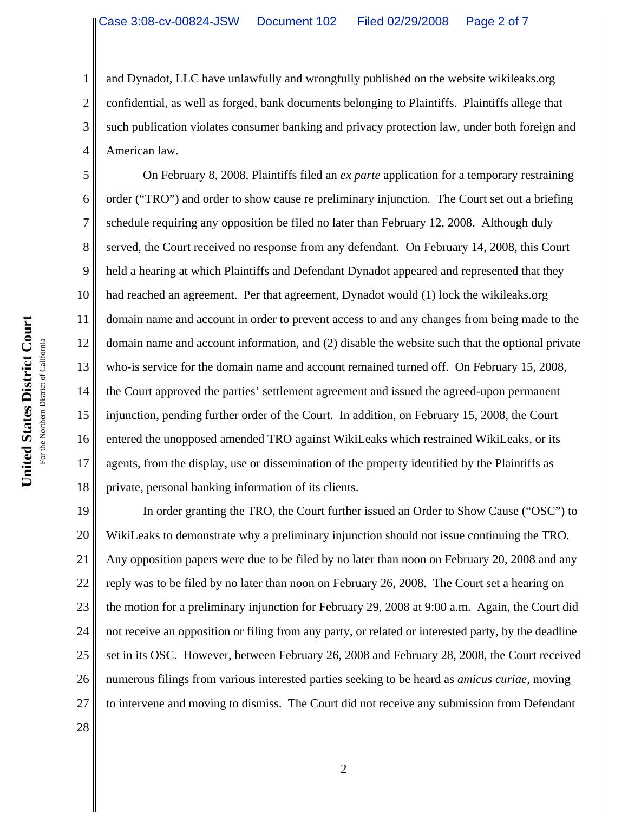2 3 4 and Dynadot, LLC have unlawfully and wrongfully published on the website wikileaks.org confidential, as well as forged, bank documents belonging to Plaintiffs. Plaintiffs allege that such publication violates consumer banking and privacy protection law, under both foreign and American law.

5 6 7 8 9 10 11 12 13 14 15 16 17 18 On February 8, 2008, Plaintiffs filed an *ex parte* application for a temporary restraining order ("TRO") and order to show cause re preliminary injunction. The Court set out a briefing schedule requiring any opposition be filed no later than February 12, 2008. Although duly served, the Court received no response from any defendant. On February 14, 2008, this Court held a hearing at which Plaintiffs and Defendant Dynadot appeared and represented that they had reached an agreement. Per that agreement, Dynadot would (1) lock the wikileaks.org domain name and account in order to prevent access to and any changes from being made to the domain name and account information, and (2) disable the website such that the optional private who-is service for the domain name and account remained turned off. On February 15, 2008, the Court approved the parties' settlement agreement and issued the agreed-upon permanent injunction, pending further order of the Court. In addition, on February 15, 2008, the Court entered the unopposed amended TRO against WikiLeaks which restrained WikiLeaks, or its agents, from the display, use or dissemination of the property identified by the Plaintiffs as private, personal banking information of its clients.

19 20 21 22 23 24 25 26 27 In order granting the TRO, the Court further issued an Order to Show Cause ("OSC") to WikiLeaks to demonstrate why a preliminary injunction should not issue continuing the TRO. Any opposition papers were due to be filed by no later than noon on February 20, 2008 and any reply was to be filed by no later than noon on February 26, 2008. The Court set a hearing on the motion for a preliminary injunction for February 29, 2008 at 9:00 a.m. Again, the Court did not receive an opposition or filing from any party, or related or interested party, by the deadline set in its OSC. However, between February 26, 2008 and February 28, 2008, the Court received numerous filings from various interested parties seeking to be heard as *amicus curiae*, moving to intervene and moving to dismiss. The Court did not receive any submission from Defendant

United States District Court **United States District Court** For the Northern District of California For the Northern District of California

28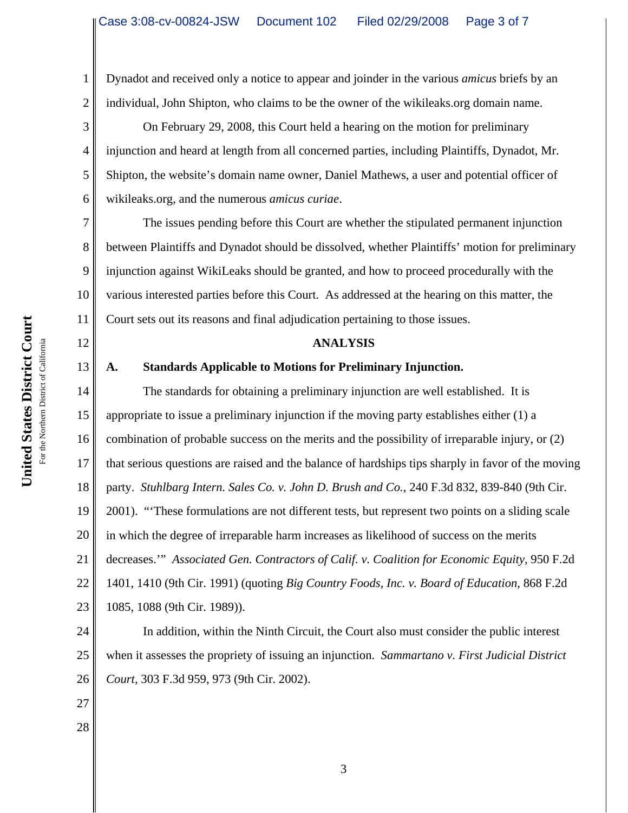1 2 Dynadot and received only a notice to appear and joinder in the various *amicus* briefs by an individual, John Shipton, who claims to be the owner of the wikileaks.org domain name.

3 4 5 6 On February 29, 2008, this Court held a hearing on the motion for preliminary injunction and heard at length from all concerned parties, including Plaintiffs, Dynadot, Mr. Shipton, the website's domain name owner, Daniel Mathews, a user and potential officer of wikileaks.org, and the numerous *amicus curiae*.

7 8 9 10 11 The issues pending before this Court are whether the stipulated permanent injunction between Plaintiffs and Dynadot should be dissolved, whether Plaintiffs' motion for preliminary injunction against WikiLeaks should be granted, and how to proceed procedurally with the various interested parties before this Court. As addressed at the hearing on this matter, the Court sets out its reasons and final adjudication pertaining to those issues.

### **ANALYSIS**

# **A. Standards Applicable to Motions for Preliminary Injunction.**

14 15 16 17 18 19 20 21 22 23 The standards for obtaining a preliminary injunction are well established. It is appropriate to issue a preliminary injunction if the moving party establishes either (1) a combination of probable success on the merits and the possibility of irreparable injury, or (2) that serious questions are raised and the balance of hardships tips sharply in favor of the moving party. *Stuhlbarg Intern. Sales Co. v. John D. Brush and Co.*, 240 F.3d 832, 839-840 (9th Cir. 2001). "'These formulations are not different tests, but represent two points on a sliding scale in which the degree of irreparable harm increases as likelihood of success on the merits decreases.'" *Associated Gen. Contractors of Calif. v. Coalition for Economic Equity*, 950 F.2d 1401, 1410 (9th Cir. 1991) (quoting *Big Country Foods, Inc. v. Board of Education*, 868 F.2d 1085, 1088 (9th Cir. 1989)).

24 25 26 In addition, within the Ninth Circuit, the Court also must consider the public interest when it assesses the propriety of issuing an injunction. *Sammartano v. First Judicial District Court*, 303 F.3d 959, 973 (9th Cir. 2002).

12

13

27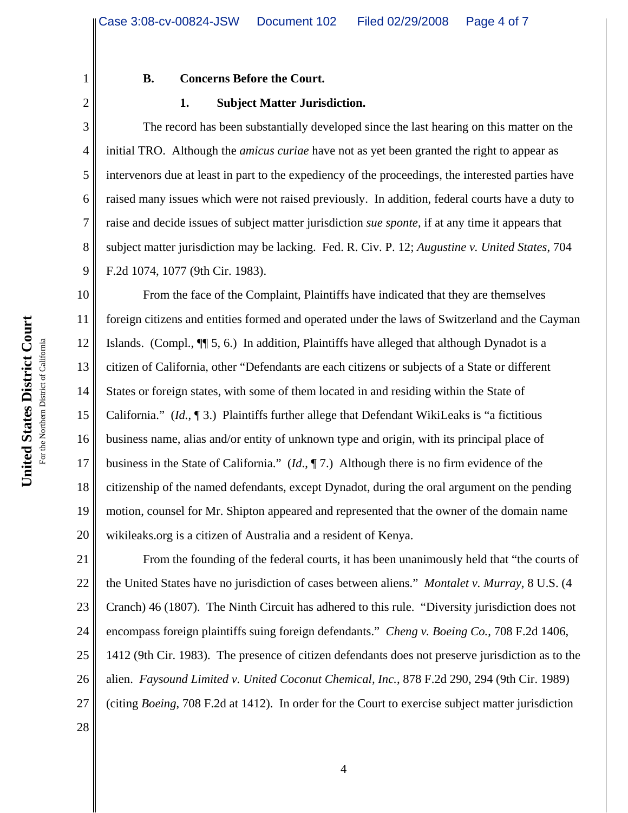| $\frac{1}{2}$<br>$\mathbf{\v{}}$<br>J<br>נו<br>מ | литери<br>سمبريات<br>$\tilde{ }$ |
|--------------------------------------------------|----------------------------------|
| rann<br>hat as                                   | For the Northern District of     |
| ě<br>Š                                           |                                  |

1

2

3

4

5

6

7

8

9

## **B. Concerns Before the Court.**

#### **1. Subject Matter Jurisdiction.**

The record has been substantially developed since the last hearing on this matter on the initial TRO. Although the *amicus curiae* have not as yet been granted the right to appear as intervenors due at least in part to the expediency of the proceedings, the interested parties have raised many issues which were not raised previously. In addition, federal courts have a duty to raise and decide issues of subject matter jurisdiction *sue sponte*, if at any time it appears that subject matter jurisdiction may be lacking. Fed. R. Civ. P. 12; *Augustine v. United States*, 704 F.2d 1074, 1077 (9th Cir. 1983).

10 11 12 13 14 15 16 17 18 19 20 From the face of the Complaint, Plaintiffs have indicated that they are themselves foreign citizens and entities formed and operated under the laws of Switzerland and the Cayman Islands. (Compl., ¶¶ 5, 6.) In addition, Plaintiffs have alleged that although Dynadot is a citizen of California, other "Defendants are each citizens or subjects of a State or different States or foreign states, with some of them located in and residing within the State of California." (*Id.*, ¶ 3.) Plaintiffs further allege that Defendant WikiLeaks is "a fictitious business name, alias and/or entity of unknown type and origin, with its principal place of business in the State of California." (*Id*., ¶ 7.) Although there is no firm evidence of the citizenship of the named defendants, except Dynadot, during the oral argument on the pending motion, counsel for Mr. Shipton appeared and represented that the owner of the domain name wikileaks.org is a citizen of Australia and a resident of Kenya.

21 22 23 24 25 26 27 From the founding of the federal courts, it has been unanimously held that "the courts of the United States have no jurisdiction of cases between aliens." *Montalet v. Murray*, 8 U.S. (4 Cranch) 46 (1807). The Ninth Circuit has adhered to this rule. "Diversity jurisdiction does not encompass foreign plaintiffs suing foreign defendants." *Cheng v. Boeing Co.*, 708 F.2d 1406, 1412 (9th Cir. 1983). The presence of citizen defendants does not preserve jurisdiction as to the alien. *Faysound Limited v. United Coconut Chemical, Inc.*, 878 F.2d 290, 294 (9th Cir. 1989) (citing *Boeing*, 708 F.2d at 1412). In order for the Court to exercise subject matter jurisdiction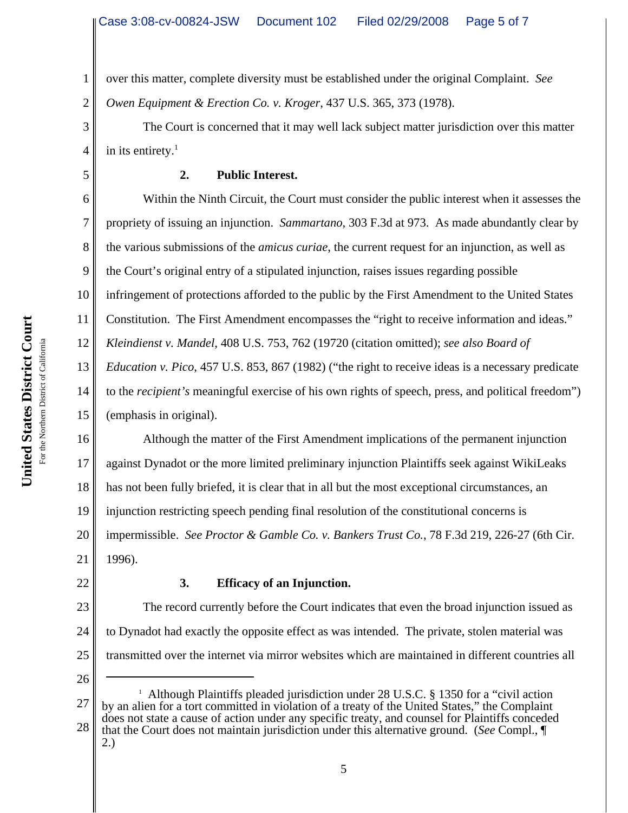2 over this matter, complete diversity must be established under the original Complaint. *See Owen Equipment & Erection Co. v. Kroger*, 437 U.S. 365, 373 (1978).

The Court is concerned that it may well lack subject matter jurisdiction over this matter in its entirety. $<sup>1</sup>$ </sup>

1

3

4

5

# **2. Public Interest.**

6 7 8 9 10 11 12 13 14 15 Within the Ninth Circuit, the Court must consider the public interest when it assesses the propriety of issuing an injunction. *Sammartano*, 303 F.3d at 973. As made abundantly clear by the various submissions of the *amicus curiae*, the current request for an injunction, as well as the Court's original entry of a stipulated injunction, raises issues regarding possible infringement of protections afforded to the public by the First Amendment to the United States Constitution. The First Amendment encompasses the "right to receive information and ideas." *Kleindienst v. Mandel*, 408 U.S. 753, 762 (19720 (citation omitted); *see also Board of Education v. Pico*, 457 U.S. 853, 867 (1982) ("the right to receive ideas is a necessary predicate to the *recipient's* meaningful exercise of his own rights of speech, press, and political freedom") (emphasis in original).

16 17 18 19 20 21 Although the matter of the First Amendment implications of the permanent injunction against Dynadot or the more limited preliminary injunction Plaintiffs seek against WikiLeaks has not been fully briefed, it is clear that in all but the most exceptional circumstances, an injunction restricting speech pending final resolution of the constitutional concerns is impermissible. *See Proctor & Gamble Co. v. Bankers Trust Co.*, 78 F.3d 219, 226-27 (6th Cir. 1996).

22

# **3. Efficacy of an Injunction.**

23 24 25 The record currently before the Court indicates that even the broad injunction issued as to Dynadot had exactly the opposite effect as was intended. The private, stolen material was transmitted over the internet via mirror websites which are maintained in different countries all

26

27 28 <sup>1</sup> Although Plaintiffs pleaded jurisdiction under 28 U.S.C. § 1350 for a "civil action by an alien for a tort committed in violation of a treaty of the United States," the Complaint does not state a cause of action under any specific treaty, and counsel for Plaintiffs conceded that the Court does not maintain jurisdiction under this alternative ground. (*See* Compl., ¶

2.)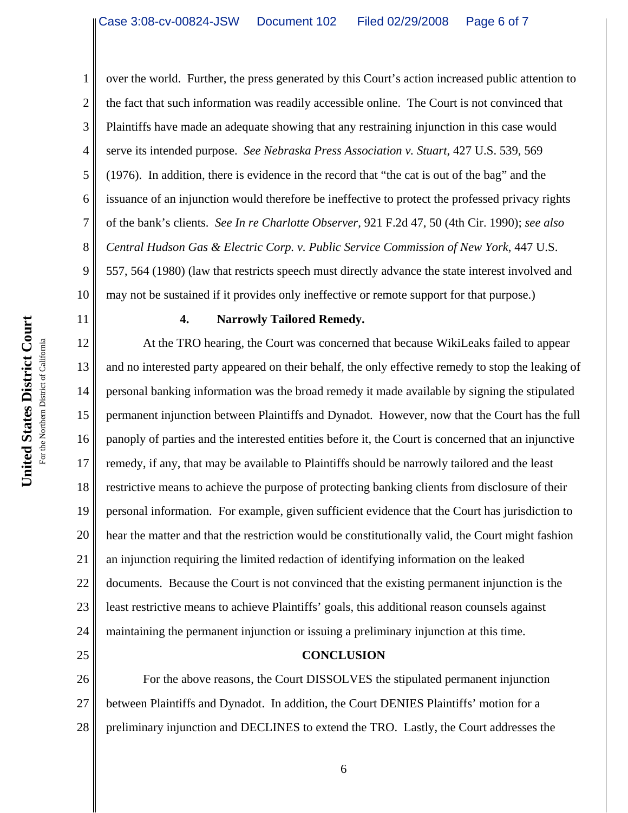2 3 4 5 6 7 8 9 10 over the world. Further, the press generated by this Court's action increased public attention to the fact that such information was readily accessible online. The Court is not convinced that Plaintiffs have made an adequate showing that any restraining injunction in this case would serve its intended purpose. *See Nebraska Press Association v. Stuart*, 427 U.S. 539, 569 (1976). In addition, there is evidence in the record that "the cat is out of the bag" and the issuance of an injunction would therefore be ineffective to protect the professed privacy rights of the bank's clients. *See In re Charlotte Observer*, 921 F.2d 47, 50 (4th Cir. 1990); *see also Central Hudson Gas & Electric Corp. v. Public Service Commission of New York*, 447 U.S. 557, 564 (1980) (law that restricts speech must directly advance the state interest involved and may not be sustained if it provides only ineffective or remote support for that purpose.)

United States District Court **United States District Court**

# 11

25

1

### **4. Narrowly Tailored Remedy.**

12 13 14 15 16 17 18 19 20 21 22 23 24 At the TRO hearing, the Court was concerned that because WikiLeaks failed to appear and no interested party appeared on their behalf, the only effective remedy to stop the leaking of personal banking information was the broad remedy it made available by signing the stipulated permanent injunction between Plaintiffs and Dynadot. However, now that the Court has the full panoply of parties and the interested entities before it, the Court is concerned that an injunctive remedy, if any, that may be available to Plaintiffs should be narrowly tailored and the least restrictive means to achieve the purpose of protecting banking clients from disclosure of their personal information. For example, given sufficient evidence that the Court has jurisdiction to hear the matter and that the restriction would be constitutionally valid, the Court might fashion an injunction requiring the limited redaction of identifying information on the leaked documents. Because the Court is not convinced that the existing permanent injunction is the least restrictive means to achieve Plaintiffs' goals, this additional reason counsels against maintaining the permanent injunction or issuing a preliminary injunction at this time.

## **CONCLUSION**

26 27 28 For the above reasons, the Court DISSOLVES the stipulated permanent injunction between Plaintiffs and Dynadot. In addition, the Court DENIES Plaintiffs' motion for a preliminary injunction and DECLINES to extend the TRO. Lastly, the Court addresses the